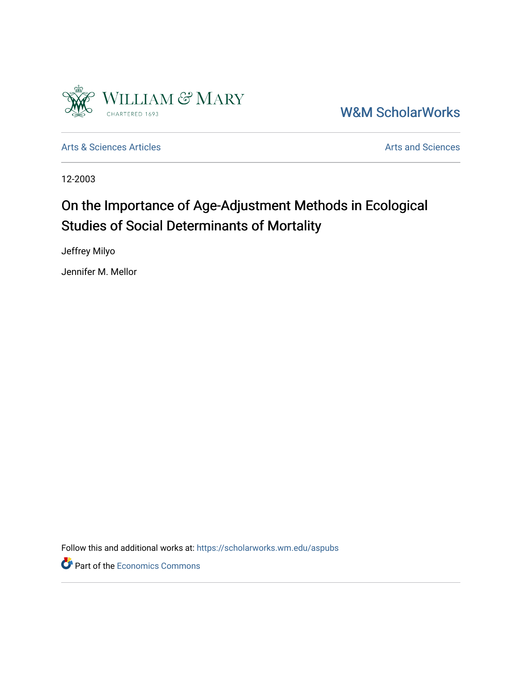

[W&M ScholarWorks](https://scholarworks.wm.edu/) 

[Arts & Sciences Articles](https://scholarworks.wm.edu/aspubs) **Articles** [Arts and Sciences](https://scholarworks.wm.edu/as) Articles Arts and Sciences Arts and Sciences

12-2003

# On the Importance of Age-Adjustment Methods in Ecological Studies of Social Determinants of Mortality

Jeffrey Milyo

Jennifer M. Mellor

Follow this and additional works at: [https://scholarworks.wm.edu/aspubs](https://scholarworks.wm.edu/aspubs?utm_source=scholarworks.wm.edu%2Faspubs%2F2025&utm_medium=PDF&utm_campaign=PDFCoverPages) 

Part of the [Economics Commons](http://network.bepress.com/hgg/discipline/340?utm_source=scholarworks.wm.edu%2Faspubs%2F2025&utm_medium=PDF&utm_campaign=PDFCoverPages)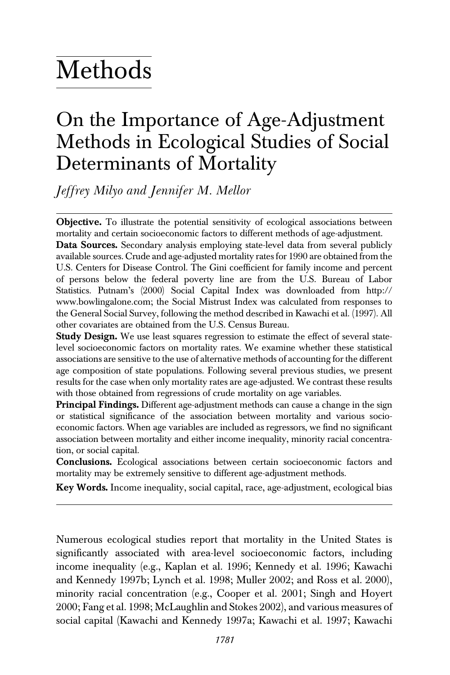# Methods

# On the Importance of Age-Adjustment Methods in Ecological Studies of Social Determinants of Mortality

Jeffrey Milyo and Jennifer M. Mellor

**Objective.** To illustrate the potential sensitivity of ecological associations between mortality and certain socioeconomic factors to different methods of age-adjustment.

Data Sources. Secondary analysis employing state-level data from several publicly available sources. Crude and age-adjusted mortality rates for 1990 are obtained from the U.S. Centers for Disease Control. The Gini coefficient for family income and percent of persons below the federal poverty line are from the U.S. Bureau of Labor Statistics. Putnam's (2000) Social Capital Index was downloaded from http:// www.bowlingalone.com; the Social Mistrust Index was calculated from responses to the General Social Survey, following the method described in Kawachi et al. (1997). All other covariates are obtained from the U.S. Census Bureau.

Study Design. We use least squares regression to estimate the effect of several statelevel socioeconomic factors on mortality rates. We examine whether these statistical associations are sensitive to the use of alternative methods of accounting for the different age composition of state populations. Following several previous studies, we present results for the case when only mortality rates are age-adjusted. We contrast these results with those obtained from regressions of crude mortality on age variables.

**Principal Findings.** Different age-adjustment methods can cause a change in the sign or statistical significance of the association between mortality and various socioeconomic factors. When age variables are included as regressors, we find no significant association between mortality and either income inequality, minority racial concentration, or social capital.

Conclusions. Ecological associations between certain socioeconomic factors and mortality may be extremely sensitive to different age-adjustment methods.

Key Words. Income inequality, social capital, race, age-adjustment, ecological bias

Numerous ecological studies report that mortality in the United States is significantly associated with area-level socioeconomic factors, including income inequality (e.g., Kaplan et al. 1996; Kennedy et al. 1996; Kawachi and Kennedy 1997b; Lynch et al. 1998; Muller 2002; and Ross et al. 2000), minority racial concentration (e.g., Cooper et al. 2001; Singh and Hoyert 2000; Fang et al. 1998; McLaughlin and Stokes 2002), and various measures of social capital (Kawachi and Kennedy 1997a; Kawachi et al. 1997; Kawachi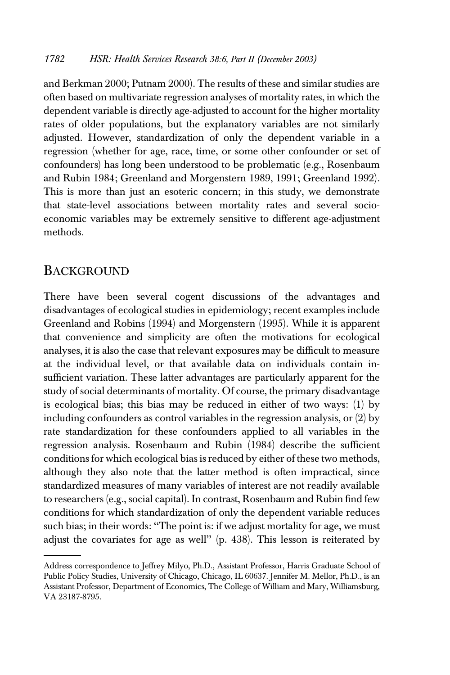and Berkman 2000; Putnam 2000). The results of these and similar studies are often based on multivariate regression analyses of mortality rates, in which the dependent variable is directly age-adjusted to account for the higher mortality rates of older populations, but the explanatory variables are not similarly adjusted. However, standardization of only the dependent variable in a regression (whether for age, race, time, or some other confounder or set of confounders) has long been understood to be problematic (e.g., Rosenbaum and Rubin 1984; Greenland and Morgenstern 1989, 1991; Greenland 1992). This is more than just an esoteric concern; in this study, we demonstrate that state-level associations between mortality rates and several socioeconomic variables may be extremely sensitive to different age-adjustment methods.

#### BACKGROUND

There have been several cogent discussions of the advantages and disadvantages of ecological studies in epidemiology; recent examples include Greenland and Robins (1994) and Morgenstern (1995). While it is apparent that convenience and simplicity are often the motivations for ecological analyses, it is also the case that relevant exposures may be difficult to measure at the individual level, or that available data on individuals contain insufficient variation. These latter advantages are particularly apparent for the study of social determinants of mortality. Of course, the primary disadvantage is ecological bias; this bias may be reduced in either of two ways: (1) by including confounders as control variables in the regression analysis, or (2) by rate standardization for these confounders applied to all variables in the regression analysis. Rosenbaum and Rubin (1984) describe the sufficient conditions for which ecological bias is reduced by either of these two methods, although they also note that the latter method is often impractical, since standardized measures of many variables of interest are not readily available to researchers (e.g., social capital). In contrast, Rosenbaum and Rubin find few conditions for which standardization of only the dependent variable reduces such bias; in their words: ''The point is: if we adjust mortality for age, we must adjust the covariates for age as well'' (p. 438). This lesson is reiterated by

Address correspondence to Jeffrey Milyo, Ph.D., Assistant Professor, Harris Graduate School of Public Policy Studies, University of Chicago, Chicago, IL 60637. Jennifer M. Mellor, Ph.D., is an Assistant Professor, Department of Economics, The College of William and Mary, Williamsburg, VA 23187-8795.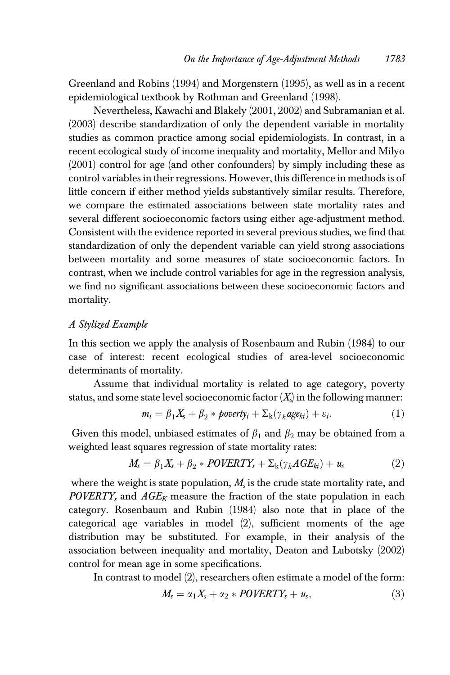Greenland and Robins (1994) and Morgenstern (1995), as well as in a recent epidemiological textbook by Rothman and Greenland (1998).

Nevertheless, Kawachi and Blakely (2001, 2002) and Subramanian et al. (2003) describe standardization of only the dependent variable in mortality studies as common practice among social epidemiologists. In contrast, in a recent ecological study of income inequality and mortality, Mellor and Milyo (2001) control for age (and other confounders) by simply including these as control variables in their regressions. However, this difference in methods is of little concern if either method yields substantively similar results. Therefore, we compare the estimated associations between state mortality rates and several different socioeconomic factors using either age-adjustment method. Consistent with the evidence reported in several previous studies, we find that standardization of only the dependent variable can yield strong associations between mortality and some measures of state socioeconomic factors. In contrast, when we include control variables for age in the regression analysis, we find no significant associations between these socioeconomic factors and mortality.

#### A Stylized Example

In this section we apply the analysis of Rosenbaum and Rubin (1984) to our case of interest: recent ecological studies of area-level socioeconomic determinants of mortality.

Assume that individual mortality is related to age category, poverty status, and some state level socioeconomic factor  $(X<sub>s</sub>)$  in the following manner:

$$
m_i = \beta_1 X_s + \beta_2 * \text{powerly}_i + \Sigma_k (\gamma_k \text{age}_{ki}) + \varepsilon_i. \tag{1}
$$

Given this model, unbiased estimates of  $\beta_1$  and  $\beta_2$  may be obtained from a weighted least squares regression of state mortality rates:

$$
M_s = \beta_1 X_s + \beta_2 * POVERTY_s + \Sigma_k(\gamma_k AGE_{ki}) + u_s \tag{2}
$$

where the weight is state population,  $M<sub>s</sub>$  is the crude state mortality rate, and  $POVERTY_s$  and  $AGE_K$  measure the fraction of the state population in each category. Rosenbaum and Rubin (1984) also note that in place of the categorical age variables in model (2), sufficient moments of the age distribution may be substituted. For example, in their analysis of the association between inequality and mortality, Deaton and Lubotsky (2002) control for mean age in some specifications.

In contrast to model (2), researchers often estimate a model of the form:

$$
M_s = \alpha_1 X_s + \alpha_2 * POVERTY_s + u_s, \qquad (3)
$$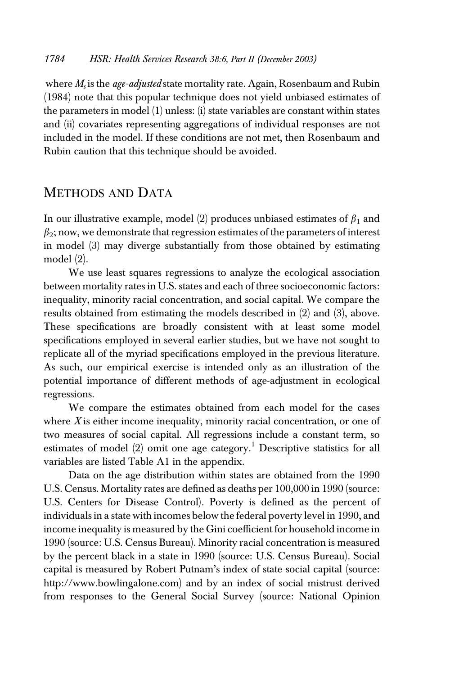where  $M_s$  is the *age-adjusted* state mortality rate. Again, Rosenbaum and Rubin (1984) note that this popular technique does not yield unbiased estimates of the parameters in model (1) unless: (i) state variables are constant within states and (ii) covariates representing aggregations of individual responses are not included in the model. If these conditions are not met, then Rosenbaum and Rubin caution that this technique should be avoided.

### METHODS AND DATA

In our illustrative example, model (2) produces unbiased estimates of  $\beta_1$  and  $\beta_2$ ; now, we demonstrate that regression estimates of the parameters of interest in model (3) may diverge substantially from those obtained by estimating model (2).

We use least squares regressions to analyze the ecological association between mortality rates in U.S. states and each of three socioeconomic factors: inequality, minority racial concentration, and social capital. We compare the results obtained from estimating the models described in (2) and (3), above. These specifications are broadly consistent with at least some model specifications employed in several earlier studies, but we have not sought to replicate all of the myriad specifications employed in the previous literature. As such, our empirical exercise is intended only as an illustration of the potential importance of different methods of age-adjustment in ecological regressions.

We compare the estimates obtained from each model for the cases where  $X$  is either income inequality, minority racial concentration, or one of two measures of social capital. All regressions include a constant term, so estimates of model  $(2)$  omit one age category.<sup>1</sup> Descriptive statistics for all variables are listed Table A1 in the appendix.

Data on the age distribution within states are obtained from the 1990 U.S. Census. Mortality rates are defined as deaths per 100,000 in 1990 (source: U.S. Centers for Disease Control). Poverty is defined as the percent of individuals in a state with incomes below the federal poverty level in 1990, and income inequality is measured by the Gini coefficient for household income in 1990 (source: U.S. Census Bureau). Minority racial concentration is measured by the percent black in a state in 1990 (source: U.S. Census Bureau). Social capital is measured by Robert Putnam's index of state social capital (source: http://www.bowlingalone.com) and by an index of social mistrust derived from responses to the General Social Survey (source: National Opinion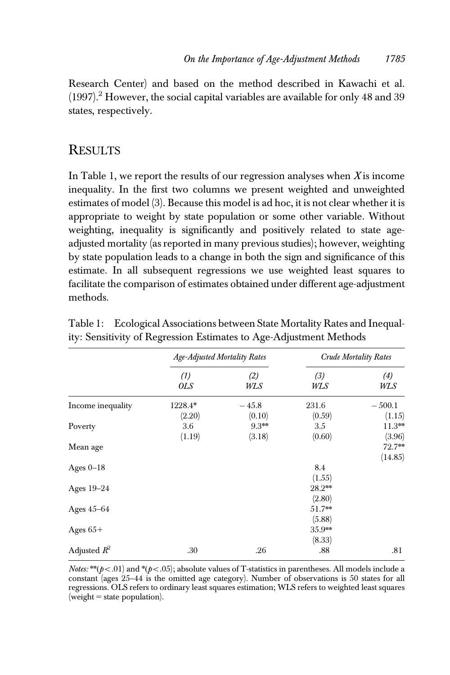Research Center) and based on the method described in Kawachi et al. (1997).<sup>2</sup> However, the social capital variables are available for only 48 and 39 states, respectively.

### **RESULTS**

In Table 1, we report the results of our regression analyses when  $X$  is income inequality. In the first two columns we present weighted and unweighted estimates of model (3). Because this model is ad hoc, it is not clear whether it is appropriate to weight by state population or some other variable. Without weighting, inequality is significantly and positively related to state ageadjusted mortality (as reported in many previous studies); however, weighting by state population leads to a change in both the sign and significance of this estimate. In all subsequent regressions we use weighted least squares to facilitate the comparison of estimates obtained under different age-adjustment methods.

|                   | <b>Age-Adjusted Mortality Rates</b> |            | <b>Crude Mortality Rates</b> |            |
|-------------------|-------------------------------------|------------|------------------------------|------------|
|                   | (1)<br><b>OLS</b>                   | (2)<br>WLS | (3)<br>WLS                   | (4)<br>WLS |
| Income inequality | 1228.4*                             | $-45.8$    | 231.6                        | $-500.1$   |
|                   | (2.20)                              | (0.10)     | (0.59)                       | (1.15)     |
| Poverty           | 3.6                                 | $9.3**$    | 3.5                          | $11.3**$   |
|                   | (1.19)                              | (3.18)     | (0.60)                       | (3.96)     |
| Mean age          |                                     |            |                              | 72.7**     |
|                   |                                     |            |                              | (14.85)    |
| Ages $0-18$       |                                     |            | 8.4                          |            |
|                   |                                     |            | (1.55)                       |            |
| Ages 19-24        |                                     |            | $28.2**$                     |            |
|                   |                                     |            | (2.80)                       |            |
| Ages $45-64$      |                                     |            | $51.7**$                     |            |
|                   |                                     |            | (5.88)                       |            |
| Ages $65+$        |                                     |            | $35.9**$                     |            |
|                   |                                     |            | (8.33)                       |            |
| Adjusted $R^2$    | .30                                 | .26        | .88                          | .81        |

Table 1: Ecological Associations between State Mortality Rates and Inequality: Sensitivity of Regression Estimates to Age-Adjustment Methods

*Notes:* \*\* $(p<.01)$  and \* $(p<.05)$ ; absolute values of T-statistics in parentheses. All models include a constant (ages 25–44 is the omitted age category). Number of observations is 50 states for all regressions. OLS refers to ordinary least squares estimation; WLS refers to weighted least squares  $(weight = state population).$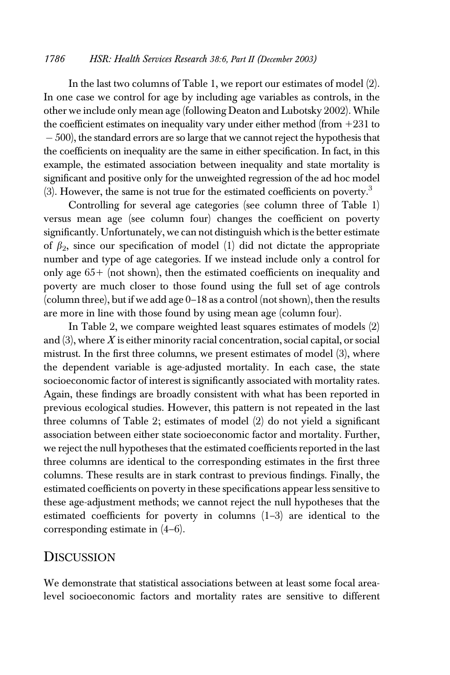#### 1786 HSR: Health Services Research 38:6, Part II (December 2003)

In the last two columns of Table 1, we report our estimates of model (2). In one case we control for age by including age variables as controls, in the other we include only mean age (following Deaton and Lubotsky 2002). While the coefficient estimates on inequality vary under either method (from  $+231$  to - 500), the standard errors are so large that we cannot reject the hypothesis that the coefficients on inequality are the same in either specification. In fact, in this example, the estimated association between inequality and state mortality is significant and positive only for the unweighted regression of the ad hoc model  $(3)$ . However, the same is not true for the estimated coefficients on poverty.<sup>3</sup>

Controlling for several age categories (see column three of Table 1) versus mean age (see column four) changes the coefficient on poverty significantly. Unfortunately, we can not distinguish which is the better estimate of  $\beta_2$ , since our specification of model (1) did not dictate the appropriate number and type of age categories. If we instead include only a control for only age  $65+$  (not shown), then the estimated coefficients on inequality and poverty are much closer to those found using the full set of age controls (column three), but if we add age 0–18 as a control (not shown), then the results are more in line with those found by using mean age (column four).

In Table 2, we compare weighted least squares estimates of models (2) and  $(3)$ , where X is either minority racial concentration, social capital, or social mistrust. In the first three columns, we present estimates of model (3), where the dependent variable is age-adjusted mortality. In each case, the state socioeconomic factor of interest is significantly associated with mortality rates. Again, these findings are broadly consistent with what has been reported in previous ecological studies. However, this pattern is not repeated in the last three columns of Table 2; estimates of model (2) do not yield a significant association between either state socioeconomic factor and mortality. Further, we reject the null hypotheses that the estimated coefficients reported in the last three columns are identical to the corresponding estimates in the first three columns. These results are in stark contrast to previous findings. Finally, the estimated coefficients on poverty in these specifications appear less sensitive to these age-adjustment methods; we cannot reject the null hypotheses that the estimated coefficients for poverty in columns  $(1-3)$  are identical to the corresponding estimate in (4–6).

#### DISCUSSION

We demonstrate that statistical associations between at least some focal arealevel socioeconomic factors and mortality rates are sensitive to different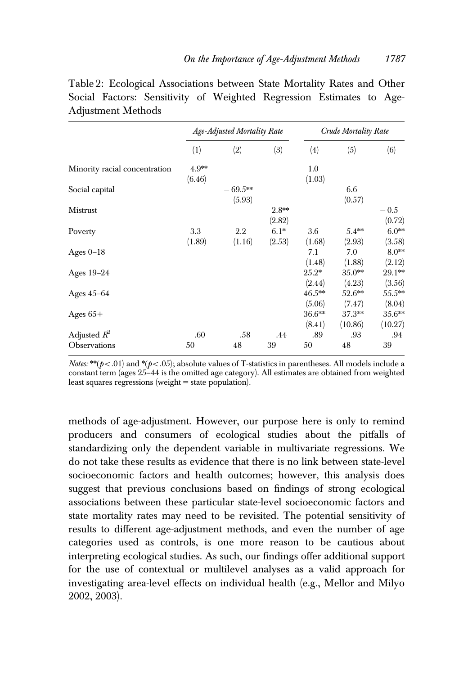|                                       | Age-Adjusted Mortality Rate |                      |                   | Crude Mortality Rate |                     |                     |
|---------------------------------------|-----------------------------|----------------------|-------------------|----------------------|---------------------|---------------------|
|                                       | (1)                         | (2)                  | (3)               | (4)                  | (5)                 | (6)                 |
| Minority racial concentration         | $4.9***$<br>(6.46)          |                      |                   | 1.0<br>(1.03)        |                     |                     |
| Social capital                        |                             | $-69.5***$<br>(5.93) |                   |                      | 6.6<br>(0.57)       |                     |
| Mistrust                              |                             |                      | $2.8**$<br>(2.82) |                      |                     | $-0.5$<br>(0.72)    |
| Poverty                               | 3.3<br>(1.89)               | 2.2<br>(1.16)        | $6.1*$<br>(2.53)  | 3.6<br>(1.68)        | $5.4**$<br>(2.93)   | $6.0**$<br>(3.58)   |
| Ages $0-18$                           |                             |                      |                   | 7.1<br>(1.48)        | 7.0<br>(1.88)       | $8.0**$<br>(2.12)   |
| Ages 19-24                            |                             |                      |                   | $25.2*$<br>(2.44)    | $35.0**$<br>(4.23)  | 29.1**<br>(3.56)    |
| Ages $45-64$                          |                             |                      |                   | $46.5**$<br>(5.06)   | $52.6**$<br>(7.47)  | $55.5***$<br>(8.04) |
| Ages $65+$                            |                             |                      |                   | $36.6***$<br>(8.41)  | $37.3**$<br>(10.86) | $35.6**$<br>(10.27) |
| Adjusted $R^2$<br><b>Observations</b> | .60<br>50                   | .58<br>48            | .44<br>39         | .89<br>50            | .93<br>48           | .94<br>39           |

Table 2: Ecological Associations between State Mortality Rates and Other Social Factors: Sensitivity of Weighted Regression Estimates to Age-Adjustment Methods

*Notes:* \*\* $(p<.01)$  and \* $(p<.05)$ ; absolute values of T-statistics in parentheses. All models include a constant term (ages 25–44 is the omitted age category). All estimates are obtained from weighted least squares regressions (weight  $=$  state population).

methods of age-adjustment. However, our purpose here is only to remind producers and consumers of ecological studies about the pitfalls of standardizing only the dependent variable in multivariate regressions. We do not take these results as evidence that there is no link between state-level socioeconomic factors and health outcomes; however, this analysis does suggest that previous conclusions based on findings of strong ecological associations between these particular state-level socioeconomic factors and state mortality rates may need to be revisited. The potential sensitivity of results to different age-adjustment methods, and even the number of age categories used as controls, is one more reason to be cautious about interpreting ecological studies. As such, our findings offer additional support for the use of contextual or multilevel analyses as a valid approach for investigating area-level effects on individual health (e.g., Mellor and Milyo 2002, 2003).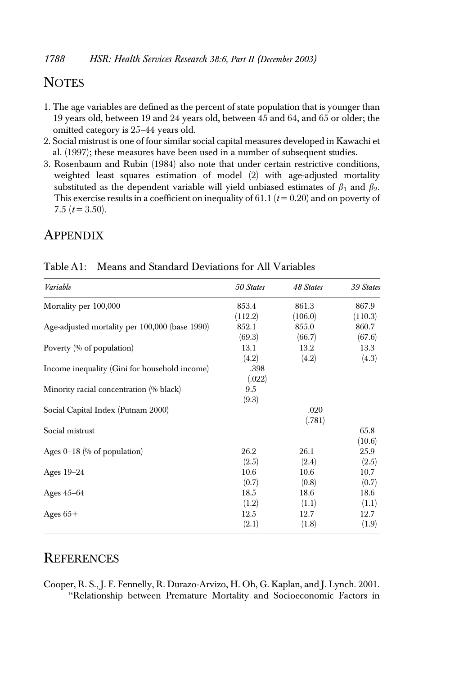## **NOTES**

- 1. The age variables are defined as the percent of state population that is younger than 19 years old, between 19 and 24 years old, between 45 and 64, and 65 or older; the omitted category is 25–44 years old.
- 2. Social mistrust is one of four similar social capital measures developed in Kawachi et al. (1997); these measures have been used in a number of subsequent studies.
- 3. Rosenbaum and Rubin (1984) also note that under certain restrictive conditions, weighted least squares estimation of model (2) with age-adjusted mortality substituted as the dependent variable will yield unbiased estimates of  $\beta_1$  and  $\beta_2$ . This exercise results in a coefficient on inequality of 61.1 ( $t = 0.20$ ) and on poverty of 7.5  $(t = 3.50)$ .

## **APPENDIX**

| Variable                                       | 50 States | 48 States | 39 States |
|------------------------------------------------|-----------|-----------|-----------|
| Mortality per 100,000                          | 853.4     | 861.3     | 867.9     |
|                                                | (112.2)   | (106.0)   | (110.3)   |
| Age-adjusted mortality per 100,000 (base 1990) | 852.1     | 855.0     | 860.7     |
|                                                | (69.3)    | (66.7)    | (67.6)    |
| Poverty (% of population)                      | 13.1      | 13.2      | 13.3      |
|                                                | (4.2)     | (4.2)     | (4.3)     |
| Income inequality (Gini for household income)  | .398      |           |           |
|                                                | (.022)    |           |           |
| Minority racial concentration (% black)        | 9.5       |           |           |
|                                                | (9.3)     |           |           |
| Social Capital Index (Putnam 2000)             |           | .020      |           |
|                                                |           | (.781)    |           |
| Social mistrust                                |           |           | 65.8      |
|                                                |           |           | (10.6)    |
| Ages $0-18$ (% of population)                  | 26.2      | 26.1      | 25.9      |
|                                                | (2.5)     | (2.4)     | (2.5)     |
| Ages $19-24$                                   | 10.6      | 10.6      | 10.7      |
|                                                | (0.7)     | (0.8)     | (0.7)     |
| Ages $45-64$                                   | 18.5      | 18.6      | 18.6      |
|                                                | (1.2)     | (1.1)     | (1.1)     |
| Ages $65+$                                     | 12.5      | 12.7      | 12.7      |
|                                                | (2.1)     | (1.8)     | (1.9)     |

| Table A1: Means and Standard Deviations for All Variables |
|-----------------------------------------------------------|
|                                                           |

#### **REFERENCES**

Cooper, R. S., J. F. Fennelly, R. Durazo-Arvizo, H. Oh, G. Kaplan, and J. Lynch. 2001. ''Relationship between Premature Mortality and Socioeconomic Factors in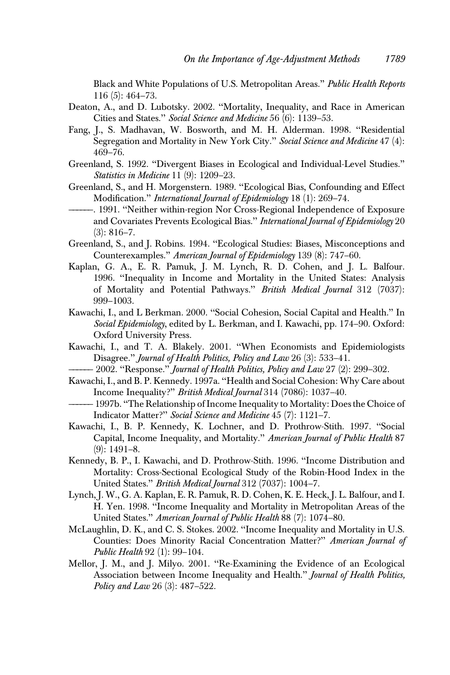Black and White Populations of U.S. Metropolitan Areas.'' Public Health Reports 116 (5): 464–73.

- Deaton, A., and D. Lubotsky. 2002. ''Mortality, Inequality, and Race in American Cities and States.'' Social Science and Medicine 56 (6): 1139–53.
- Fang, J., S. Madhavan, W. Bosworth, and M. H. Alderman. 1998. ''Residential Segregation and Mortality in New York City." Social Science and Medicine 47 (4): 469–76.
- Greenland, S. 1992. ''Divergent Biases in Ecological and Individual-Level Studies.'' Statistics in Medicine 11 (9): 1209–23.
- Greenland, S., and H. Morgenstern. 1989. ''Ecological Bias, Confounding and Effect Modification." *International Journal of Epidemiology* 18 (1): 269–74.
- ——————. 1991. ''Neither within-region Nor Cross-Regional Independence of Exposure and Covariates Prevents Ecological Bias.'' International Journal of Epidemiology 20  $(3): 816 - 7.$
- Greenland, S., and J. Robins. 1994. ''Ecological Studies: Biases, Misconceptions and Counterexamples.'' American Journal of Epidemiology 139 (8): 747–60.
- Kaplan, G. A., E. R. Pamuk, J. M. Lynch, R. D. Cohen, and J. L. Balfour. 1996. ''Inequality in Income and Mortality in the United States: Analysis of Mortality and Potential Pathways.'' British Medical Journal 312 (7037): 999–1003.
- Kawachi, I., and L Berkman. 2000. ''Social Cohesion, Social Capital and Health.'' In Social Epidemiology, edited by L. Berkman, and I. Kawachi, pp. 174–90. Oxford: Oxford University Press.
- Kawachi, I., and T. A. Blakely. 2001. ''When Economists and Epidemiologists Disagree.'' Journal of Health Politics, Policy and Law 26 (3): 533–41.
- 2002. "Response." Journal of Health Politics, Policy and Law 27 (2): 299–302.
- Kawachi, I., and B. P. Kennedy. 1997a. ''Health and Social Cohesion: Why Care about Income Inequality?'' British Medical Journal 314 (7086): 1037–40.
- -1997b. "The Relationship of Income Inequality to Mortality: Does the Choice of Indicator Matter?'' Social Science and Medicine 45 (7): 1121–7.
- Kawachi, I., B. P. Kennedy, K. Lochner, and D. Prothrow-Stith. 1997. ''Social Capital, Income Inequality, and Mortality.'' American Journal of Public Health 87 (9): 1491–8.
- Kennedy, B. P., I. Kawachi, and D. Prothrow-Stith. 1996. ''Income Distribution and Mortality: Cross-Sectional Ecological Study of the Robin-Hood Index in the United States." British Medical Journal 312 (7037): 1004-7.
- Lynch, J. W., G. A. Kaplan, E. R. Pamuk, R. D. Cohen, K. E. Heck, J. L. Balfour, and I. H. Yen. 1998. ''Income Inequality and Mortality in Metropolitan Areas of the United States.'' American Journal of Public Health 88 (7): 1074–80.
- McLaughlin, D. K., and C. S. Stokes. 2002. ''Income Inequality and Mortality in U.S. Counties: Does Minority Racial Concentration Matter?'' American Journal of Public Health 92 (1): 99–104.
- Mellor, J. M., and J. Milyo. 2001. ''Re-Examining the Evidence of an Ecological Association between Income Inequality and Health.'' Journal of Health Politics, Policy and Law 26 (3): 487-522.